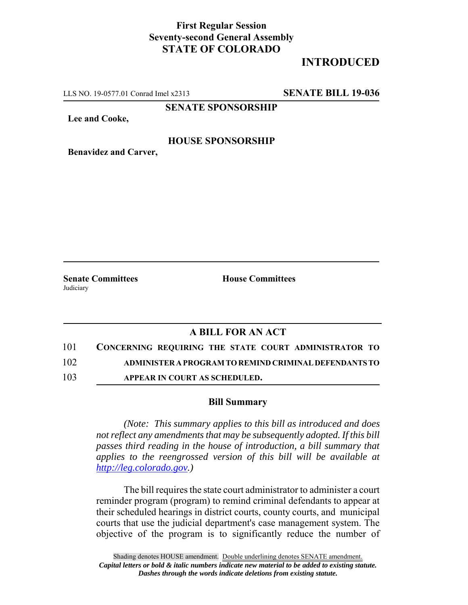## **First Regular Session Seventy-second General Assembly STATE OF COLORADO**

# **INTRODUCED**

LLS NO. 19-0577.01 Conrad Imel x2313 **SENATE BILL 19-036**

**SENATE SPONSORSHIP**

**Lee and Cooke,**

#### **HOUSE SPONSORSHIP**

**Benavidez and Carver,**

Judiciary

**Senate Committees House Committees** 

### **A BILL FOR AN ACT**

101 **CONCERNING REQUIRING THE STATE COURT ADMINISTRATOR TO**

102 **ADMINISTER A PROGRAM TO REMIND CRIMINAL DEFENDANTS TO**

103 **APPEAR IN COURT AS SCHEDULED.**

#### **Bill Summary**

*(Note: This summary applies to this bill as introduced and does not reflect any amendments that may be subsequently adopted. If this bill passes third reading in the house of introduction, a bill summary that applies to the reengrossed version of this bill will be available at http://leg.colorado.gov.)*

The bill requires the state court administrator to administer a court reminder program (program) to remind criminal defendants to appear at their scheduled hearings in district courts, county courts, and municipal courts that use the judicial department's case management system. The objective of the program is to significantly reduce the number of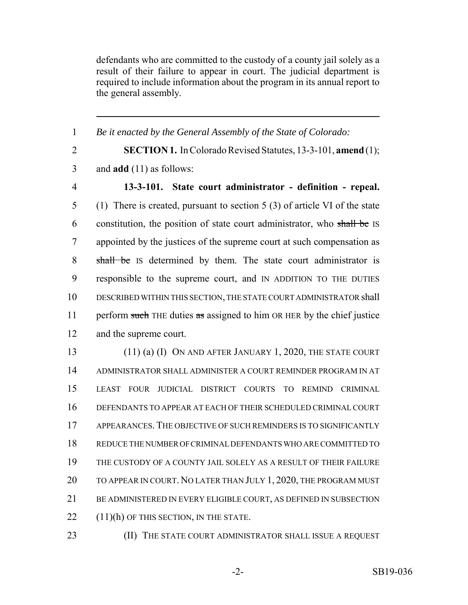defendants who are committed to the custody of a county jail solely as a result of their failure to appear in court. The judicial department is required to include information about the program in its annual report to the general assembly.

 *Be it enacted by the General Assembly of the State of Colorado:* **SECTION 1.** In Colorado Revised Statutes, 13-3-101, **amend** (1); and **add** (11) as follows: **13-3-101. State court administrator - definition - repeal.** (1) There is created, pursuant to section 5 (3) of article VI of the state 6 constitution, the position of state court administrator, who shall be IS appointed by the justices of the supreme court at such compensation as 8 shall be IS determined by them. The state court administrator is responsible to the supreme court, and IN ADDITION TO THE DUTIES DESCRIBED WITHIN THIS SECTION, THE STATE COURT ADMINISTRATOR shall 11 perform such THE duties as assigned to him OR HER by the chief justice and the supreme court. 13 (11) (a) (I) ON AND AFTER JANUARY 1, 2020, THE STATE COURT ADMINISTRATOR SHALL ADMINISTER A COURT REMINDER PROGRAM IN AT LEAST FOUR JUDICIAL DISTRICT COURTS TO REMIND CRIMINAL DEFENDANTS TO APPEAR AT EACH OF THEIR SCHEDULED CRIMINAL COURT APPEARANCES. THE OBJECTIVE OF SUCH REMINDERS IS TO SIGNIFICANTLY REDUCE THE NUMBER OF CRIMINAL DEFENDANTS WHO ARE COMMITTED TO THE CUSTODY OF A COUNTY JAIL SOLELY AS A RESULT OF THEIR FAILURE 20 TO APPEAR IN COURT. NO LATER THAN JULY 1, 2020, THE PROGRAM MUST BE ADMINISTERED IN EVERY ELIGIBLE COURT, AS DEFINED IN SUBSECTION (11)(h) OF THIS SECTION, IN THE STATE.

- 
- **(II) THE STATE COURT ADMINISTRATOR SHALL ISSUE A REQUEST**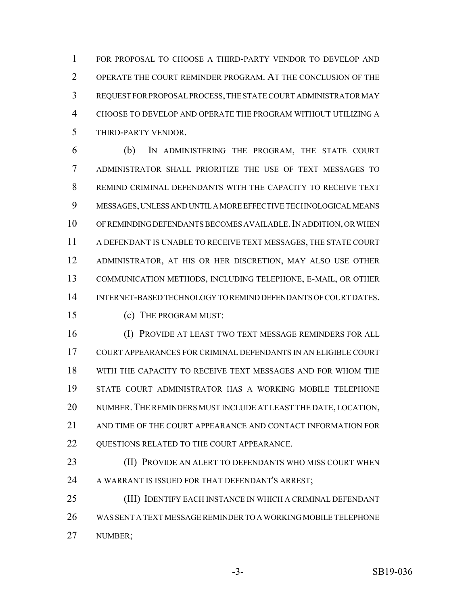FOR PROPOSAL TO CHOOSE A THIRD-PARTY VENDOR TO DEVELOP AND OPERATE THE COURT REMINDER PROGRAM. AT THE CONCLUSION OF THE REQUEST FOR PROPOSAL PROCESS, THE STATE COURT ADMINISTRATOR MAY CHOOSE TO DEVELOP AND OPERATE THE PROGRAM WITHOUT UTILIZING A THIRD-PARTY VENDOR.

 (b) IN ADMINISTERING THE PROGRAM, THE STATE COURT ADMINISTRATOR SHALL PRIORITIZE THE USE OF TEXT MESSAGES TO REMIND CRIMINAL DEFENDANTS WITH THE CAPACITY TO RECEIVE TEXT MESSAGES, UNLESS AND UNTIL A MORE EFFECTIVE TECHNOLOGICAL MEANS 10 OF REMINDING DEFENDANTS BECOMES AVAILABLE. IN ADDITION, OR WHEN A DEFENDANT IS UNABLE TO RECEIVE TEXT MESSAGES, THE STATE COURT ADMINISTRATOR, AT HIS OR HER DISCRETION, MAY ALSO USE OTHER COMMUNICATION METHODS, INCLUDING TELEPHONE, E-MAIL, OR OTHER INTERNET-BASED TECHNOLOGY TO REMIND DEFENDANTS OF COURT DATES.

(c) THE PROGRAM MUST:

 (I) PROVIDE AT LEAST TWO TEXT MESSAGE REMINDERS FOR ALL COURT APPEARANCES FOR CRIMINAL DEFENDANTS IN AN ELIGIBLE COURT WITH THE CAPACITY TO RECEIVE TEXT MESSAGES AND FOR WHOM THE STATE COURT ADMINISTRATOR HAS A WORKING MOBILE TELEPHONE NUMBER.THE REMINDERS MUST INCLUDE AT LEAST THE DATE, LOCATION, AND TIME OF THE COURT APPEARANCE AND CONTACT INFORMATION FOR 22 OUESTIONS RELATED TO THE COURT APPEARANCE.

**(II) PROVIDE AN ALERT TO DEFENDANTS WHO MISS COURT WHEN** 24 A WARRANT IS ISSUED FOR THAT DEFENDANT'S ARREST;

 (III) IDENTIFY EACH INSTANCE IN WHICH A CRIMINAL DEFENDANT WAS SENT A TEXT MESSAGE REMINDER TO A WORKING MOBILE TELEPHONE NUMBER;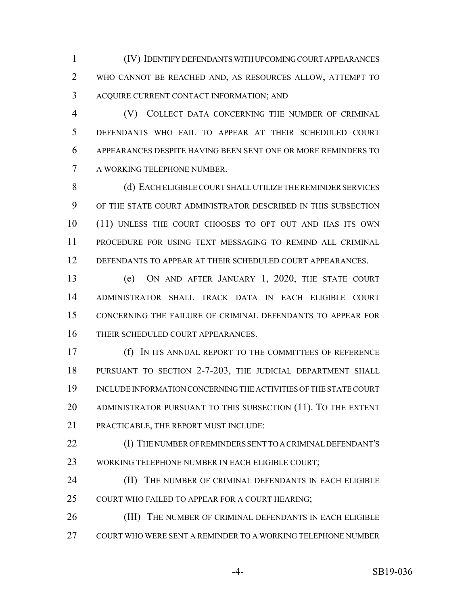(IV) IDENTIFY DEFENDANTS WITH UPCOMING COURT APPEARANCES WHO CANNOT BE REACHED AND, AS RESOURCES ALLOW, ATTEMPT TO ACQUIRE CURRENT CONTACT INFORMATION; AND

 (V) COLLECT DATA CONCERNING THE NUMBER OF CRIMINAL DEFENDANTS WHO FAIL TO APPEAR AT THEIR SCHEDULED COURT APPEARANCES DESPITE HAVING BEEN SENT ONE OR MORE REMINDERS TO A WORKING TELEPHONE NUMBER.

8 (d) EACH ELIGIBLE COURT SHALL UTILIZE THE REMINDER SERVICES OF THE STATE COURT ADMINISTRATOR DESCRIBED IN THIS SUBSECTION (11) UNLESS THE COURT CHOOSES TO OPT OUT AND HAS ITS OWN PROCEDURE FOR USING TEXT MESSAGING TO REMIND ALL CRIMINAL DEFENDANTS TO APPEAR AT THEIR SCHEDULED COURT APPEARANCES.

 (e) ON AND AFTER JANUARY 1, 2020, THE STATE COURT ADMINISTRATOR SHALL TRACK DATA IN EACH ELIGIBLE COURT CONCERNING THE FAILURE OF CRIMINAL DEFENDANTS TO APPEAR FOR THEIR SCHEDULED COURT APPEARANCES.

 (f) IN ITS ANNUAL REPORT TO THE COMMITTEES OF REFERENCE PURSUANT TO SECTION 2-7-203, THE JUDICIAL DEPARTMENT SHALL INCLUDE INFORMATION CONCERNING THE ACTIVITIES OF THE STATE COURT ADMINISTRATOR PURSUANT TO THIS SUBSECTION (11). TO THE EXTENT PRACTICABLE, THE REPORT MUST INCLUDE:

 (I) THE NUMBER OF REMINDERS SENT TO A CRIMINAL DEFENDANT'S WORKING TELEPHONE NUMBER IN EACH ELIGIBLE COURT;

**(II)** THE NUMBER OF CRIMINAL DEFENDANTS IN EACH ELIGIBLE COURT WHO FAILED TO APPEAR FOR A COURT HEARING;

26 (III) THE NUMBER OF CRIMINAL DEFENDANTS IN EACH ELIGIBLE COURT WHO WERE SENT A REMINDER TO A WORKING TELEPHONE NUMBER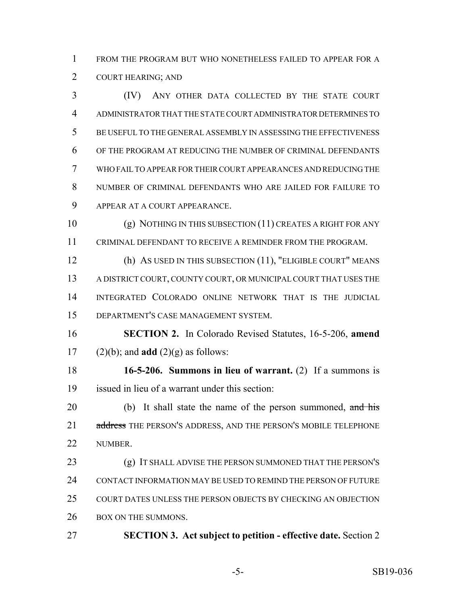FROM THE PROGRAM BUT WHO NONETHELESS FAILED TO APPEAR FOR A COURT HEARING; AND

 (IV) ANY OTHER DATA COLLECTED BY THE STATE COURT ADMINISTRATOR THAT THE STATE COURT ADMINISTRATOR DETERMINES TO BE USEFUL TO THE GENERAL ASSEMBLY IN ASSESSING THE EFFECTIVENESS OF THE PROGRAM AT REDUCING THE NUMBER OF CRIMINAL DEFENDANTS WHO FAIL TO APPEAR FOR THEIR COURT APPEARANCES AND REDUCING THE NUMBER OF CRIMINAL DEFENDANTS WHO ARE JAILED FOR FAILURE TO APPEAR AT A COURT APPEARANCE.

 (g) NOTHING IN THIS SUBSECTION (11) CREATES A RIGHT FOR ANY CRIMINAL DEFENDANT TO RECEIVE A REMINDER FROM THE PROGRAM.

 (h) AS USED IN THIS SUBSECTION (11), "ELIGIBLE COURT" MEANS A DISTRICT COURT, COUNTY COURT, OR MUNICIPAL COURT THAT USES THE INTEGRATED COLORADO ONLINE NETWORK THAT IS THE JUDICIAL DEPARTMENT'S CASE MANAGEMENT SYSTEM.

 **SECTION 2.** In Colorado Revised Statutes, 16-5-206, **amend** 17 (2)(b); and **add** (2)(g) as follows:

 **16-5-206. Summons in lieu of warrant.** (2) If a summons is issued in lieu of a warrant under this section:

20 (b) It shall state the name of the person summoned, and his 21 address THE PERSON'S ADDRESS, AND THE PERSON'S MOBILE TELEPHONE NUMBER.

 (g) IT SHALL ADVISE THE PERSON SUMMONED THAT THE PERSON'S CONTACT INFORMATION MAY BE USED TO REMIND THE PERSON OF FUTURE COURT DATES UNLESS THE PERSON OBJECTS BY CHECKING AN OBJECTION 26 BOX ON THE SUMMONS.

**SECTION 3. Act subject to petition - effective date.** Section 2